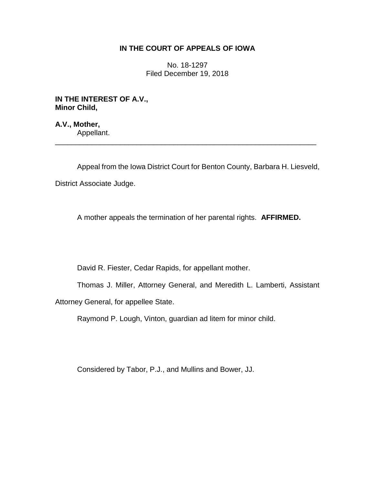### **IN THE COURT OF APPEALS OF IOWA**

No. 18-1297 Filed December 19, 2018

**IN THE INTEREST OF A.V., Minor Child,**

**A.V., Mother,** Appellant. \_\_\_\_\_\_\_\_\_\_\_\_\_\_\_\_\_\_\_\_\_\_\_\_\_\_\_\_\_\_\_\_\_\_\_\_\_\_\_\_\_\_\_\_\_\_\_\_\_\_\_\_\_\_\_\_\_\_\_\_\_\_\_\_

Appeal from the Iowa District Court for Benton County, Barbara H. Liesveld,

District Associate Judge.

A mother appeals the termination of her parental rights. **AFFIRMED.** 

David R. Fiester, Cedar Rapids, for appellant mother.

Thomas J. Miller, Attorney General, and Meredith L. Lamberti, Assistant

Attorney General, for appellee State.

Raymond P. Lough, Vinton, guardian ad litem for minor child.

Considered by Tabor, P.J., and Mullins and Bower, JJ.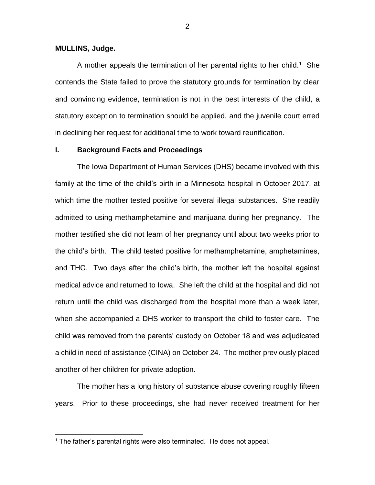#### **MULLINS, Judge.**

 $\overline{a}$ 

A mother appeals the termination of her parental rights to her child.<sup>1</sup> She contends the State failed to prove the statutory grounds for termination by clear and convincing evidence, termination is not in the best interests of the child, a statutory exception to termination should be applied, and the juvenile court erred in declining her request for additional time to work toward reunification.

#### **I. Background Facts and Proceedings**

The Iowa Department of Human Services (DHS) became involved with this family at the time of the child's birth in a Minnesota hospital in October 2017, at which time the mother tested positive for several illegal substances. She readily admitted to using methamphetamine and marijuana during her pregnancy. The mother testified she did not learn of her pregnancy until about two weeks prior to the child's birth. The child tested positive for methamphetamine, amphetamines, and THC. Two days after the child's birth, the mother left the hospital against medical advice and returned to Iowa. She left the child at the hospital and did not return until the child was discharged from the hospital more than a week later, when she accompanied a DHS worker to transport the child to foster care. The child was removed from the parents' custody on October 18 and was adjudicated a child in need of assistance (CINA) on October 24. The mother previously placed another of her children for private adoption.

The mother has a long history of substance abuse covering roughly fifteen years. Prior to these proceedings, she had never received treatment for her

<sup>&</sup>lt;sup>1</sup> The father's parental rights were also terminated. He does not appeal.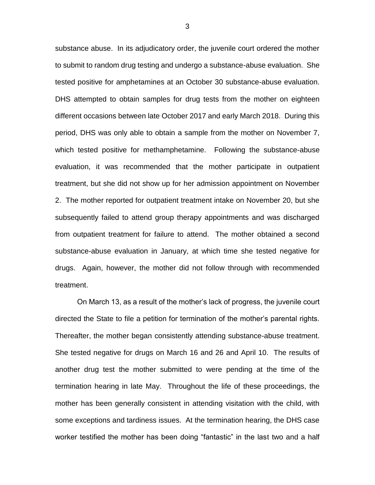substance abuse. In its adjudicatory order, the juvenile court ordered the mother to submit to random drug testing and undergo a substance-abuse evaluation. She tested positive for amphetamines at an October 30 substance-abuse evaluation. DHS attempted to obtain samples for drug tests from the mother on eighteen different occasions between late October 2017 and early March 2018. During this period, DHS was only able to obtain a sample from the mother on November 7, which tested positive for methamphetamine. Following the substance-abuse evaluation, it was recommended that the mother participate in outpatient treatment, but she did not show up for her admission appointment on November 2. The mother reported for outpatient treatment intake on November 20, but she subsequently failed to attend group therapy appointments and was discharged from outpatient treatment for failure to attend. The mother obtained a second substance-abuse evaluation in January, at which time she tested negative for drugs. Again, however, the mother did not follow through with recommended treatment.

On March 13, as a result of the mother's lack of progress, the juvenile court directed the State to file a petition for termination of the mother's parental rights. Thereafter, the mother began consistently attending substance-abuse treatment. She tested negative for drugs on March 16 and 26 and April 10. The results of another drug test the mother submitted to were pending at the time of the termination hearing in late May. Throughout the life of these proceedings, the mother has been generally consistent in attending visitation with the child, with some exceptions and tardiness issues. At the termination hearing, the DHS case worker testified the mother has been doing "fantastic" in the last two and a half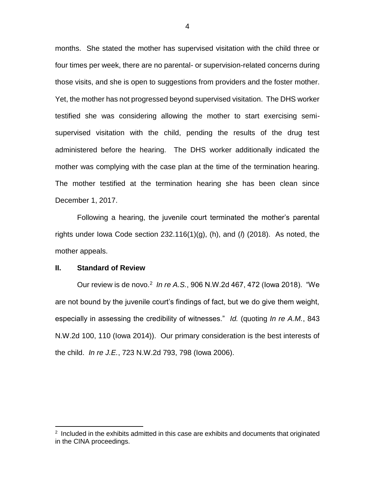months. She stated the mother has supervised visitation with the child three or four times per week, there are no parental- or supervision-related concerns during those visits, and she is open to suggestions from providers and the foster mother. Yet, the mother has not progressed beyond supervised visitation. The DHS worker testified she was considering allowing the mother to start exercising semisupervised visitation with the child, pending the results of the drug test administered before the hearing. The DHS worker additionally indicated the mother was complying with the case plan at the time of the termination hearing. The mother testified at the termination hearing she has been clean since December 1, 2017.

Following a hearing, the juvenile court terminated the mother's parental rights under Iowa Code section 232.116(1)(g), (h), and (*l*) (2018). As noted, the mother appeals.

#### **II. Standard of Review**

 $\overline{a}$ 

Our review is de novo.<sup>2</sup> In re A.S., 906 N.W.2d 467, 472 (lowa 2018). "We are not bound by the juvenile court's findings of fact, but we do give them weight, especially in assessing the credibility of witnesses." *Id.* (quoting *In re A.M.*, 843 N.W.2d 100, 110 (Iowa 2014)). Our primary consideration is the best interests of the child. *In re J.E.*, 723 N.W.2d 793, 798 (Iowa 2006).

<sup>&</sup>lt;sup>2</sup> Included in the exhibits admitted in this case are exhibits and documents that originated in the CINA proceedings.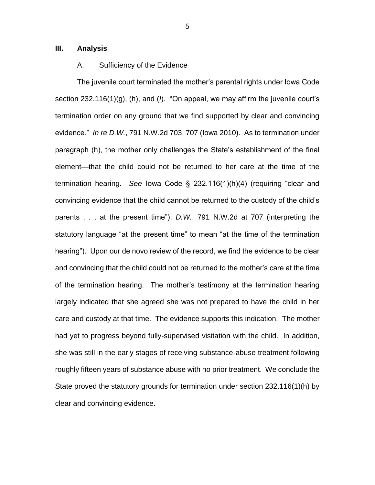#### **III. Analysis**

#### A. Sufficiency of the Evidence

The juvenile court terminated the mother's parental rights under Iowa Code section 232.116(1)(g), (h), and (*l*). "On appeal, we may affirm the juvenile court's termination order on any ground that we find supported by clear and convincing evidence." *In re D.W.*, 791 N.W.2d 703, 707 (Iowa 2010). As to termination under paragraph (h), the mother only challenges the State's establishment of the final element—that the child could not be returned to her care at the time of the termination hearing. *See* Iowa Code § 232.116(1)(h)(4) (requiring "clear and convincing evidence that the child cannot be returned to the custody of the child's parents . . . at the present time"); *D.W.*, 791 N.W.2d at 707 (interpreting the statutory language "at the present time" to mean "at the time of the termination hearing"). Upon our de novo review of the record, we find the evidence to be clear and convincing that the child could not be returned to the mother's care at the time of the termination hearing. The mother's testimony at the termination hearing largely indicated that she agreed she was not prepared to have the child in her care and custody at that time. The evidence supports this indication. The mother had yet to progress beyond fully-supervised visitation with the child. In addition, she was still in the early stages of receiving substance-abuse treatment following roughly fifteen years of substance abuse with no prior treatment. We conclude the State proved the statutory grounds for termination under section 232.116(1)(h) by clear and convincing evidence.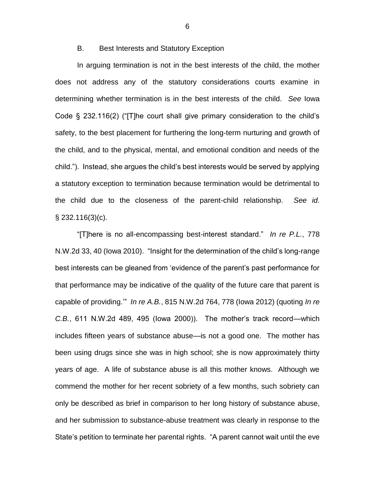#### B. Best Interests and Statutory Exception

In arguing termination is not in the best interests of the child, the mother does not address any of the statutory considerations courts examine in determining whether termination is in the best interests of the child. *See* Iowa Code § 232.116(2) ("[T]he court shall give primary consideration to the child's safety, to the best placement for furthering the long-term nurturing and growth of the child, and to the physical, mental, and emotional condition and needs of the child."). Instead, she argues the child's best interests would be served by applying a statutory exception to termination because termination would be detrimental to the child due to the closeness of the parent-child relationship. *See id.*  § 232.116(3)(c).

"[T]here is no all-encompassing best-interest standard." *In re P.L.*, 778 N.W.2d 33, 40 (Iowa 2010). "Insight for the determination of the child's long-range best interests can be gleaned from 'evidence of the parent's past performance for that performance may be indicative of the quality of the future care that parent is capable of providing.'" *In re A.B.*, 815 N.W.2d 764, 778 (Iowa 2012) (quoting *In re C.B.*, 611 N.W.2d 489, 495 (Iowa 2000)). The mother's track record—which includes fifteen years of substance abuse—is not a good one. The mother has been using drugs since she was in high school; she is now approximately thirty years of age. A life of substance abuse is all this mother knows. Although we commend the mother for her recent sobriety of a few months, such sobriety can only be described as brief in comparison to her long history of substance abuse, and her submission to substance-abuse treatment was clearly in response to the State's petition to terminate her parental rights. "A parent cannot wait until the eve

6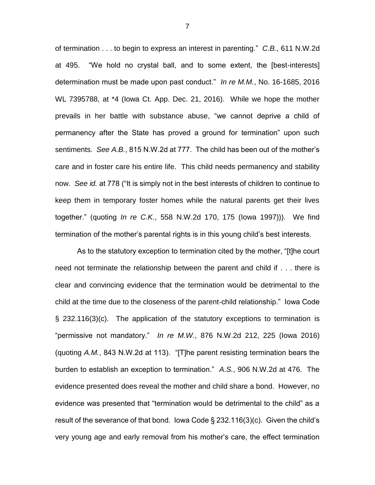of termination . . . to begin to express an interest in parenting." *C.B.*, 611 N.W.2d at 495."We hold no crystal ball, and to some extent, the [best-interests] determination must be made upon past conduct." *In re M.M.*, No. 16-1685, 2016 WL 7395788, at \*4 (Iowa Ct. App. Dec. 21, 2016). While we hope the mother prevails in her battle with substance abuse, "we cannot deprive a child of permanency after the State has proved a ground for termination" upon such sentiments. *See A.B.*, 815 N.W.2d at 777. The child has been out of the mother's care and in foster care his entire life. This child needs permanency and stability now. *See id.* at 778 ("It is simply not in the best interests of children to continue to keep them in temporary foster homes while the natural parents get their lives together." (quoting *In re C.K.*, 558 N.W.2d 170, 175 (Iowa 1997))). We find termination of the mother's parental rights is in this young child's best interests.

As to the statutory exception to termination cited by the mother, "[t]he court need not terminate the relationship between the parent and child if . . . there is clear and convincing evidence that the termination would be detrimental to the child at the time due to the closeness of the parent-child relationship." Iowa Code § 232.116(3)(c). The application of the statutory exceptions to termination is "permissive not mandatory." *In re M.W.*, 876 N.W.2d 212, 225 (Iowa 2016) (quoting *A.M.*, 843 N.W.2d at 113). "[T]he parent resisting termination bears the burden to establish an exception to termination." *A.S.*, 906 N.W.2d at 476. The evidence presented does reveal the mother and child share a bond. However, no evidence was presented that "termination would be detrimental to the child" as a result of the severance of that bond. Iowa Code § 232.116(3)(c). Given the child's very young age and early removal from his mother's care, the effect termination

7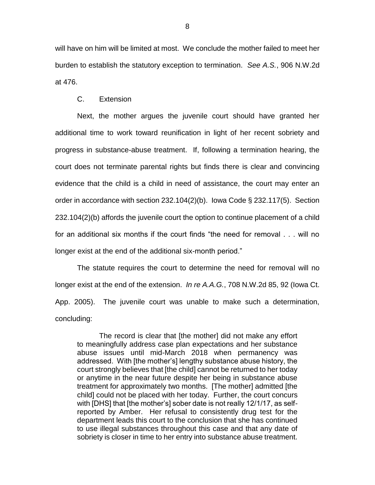will have on him will be limited at most. We conclude the mother failed to meet her burden to establish the statutory exception to termination. *See A.S.*, 906 N.W.2d at 476.

#### C. Extension

Next, the mother argues the juvenile court should have granted her additional time to work toward reunification in light of her recent sobriety and progress in substance-abuse treatment. If, following a termination hearing, the court does not terminate parental rights but finds there is clear and convincing evidence that the child is a child in need of assistance, the court may enter an order in accordance with section 232.104(2)(b). Iowa Code § 232.117(5). Section 232.104(2)(b) affords the juvenile court the option to continue placement of a child for an additional six months if the court finds "the need for removal . . . will no longer exist at the end of the additional six-month period."

The statute requires the court to determine the need for removal will no longer exist at the end of the extension. *In re A.A.G.*, 708 N.W.2d 85, 92 (Iowa Ct. App. 2005). The juvenile court was unable to make such a determination, concluding:

The record is clear that [the mother] did not make any effort to meaningfully address case plan expectations and her substance abuse issues until mid-March 2018 when permanency was addressed. With [the mother's] lengthy substance abuse history, the court strongly believes that [the child] cannot be returned to her today or anytime in the near future despite her being in substance abuse treatment for approximately two months. [The mother] admitted [the child] could not be placed with her today. Further, the court concurs with [DHS] that [the mother's] sober date is not really 12/1/17, as selfreported by Amber. Her refusal to consistently drug test for the department leads this court to the conclusion that she has continued to use illegal substances throughout this case and that any date of sobriety is closer in time to her entry into substance abuse treatment.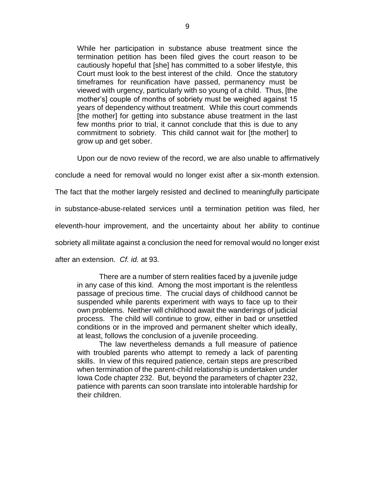While her participation in substance abuse treatment since the termination petition has been filed gives the court reason to be cautiously hopeful that [she] has committed to a sober lifestyle, this Court must look to the best interest of the child. Once the statutory timeframes for reunification have passed, permanency must be viewed with urgency, particularly with so young of a child. Thus, [the mother's] couple of months of sobriety must be weighed against 15 years of dependency without treatment. While this court commends [the mother] for getting into substance abuse treatment in the last few months prior to trial, it cannot conclude that this is due to any commitment to sobriety. This child cannot wait for [the mother] to grow up and get sober.

Upon our de novo review of the record, we are also unable to affirmatively

conclude a need for removal would no longer exist after a six-month extension.

The fact that the mother largely resisted and declined to meaningfully participate

in substance-abuse-related services until a termination petition was filed, her

eleventh-hour improvement, and the uncertainty about her ability to continue

sobriety all militate against a conclusion the need for removal would no longer exist

after an extension. *Cf. id.* at 93.

There are a number of stern realities faced by a juvenile judge in any case of this kind. Among the most important is the relentless passage of precious time. The crucial days of childhood cannot be suspended while parents experiment with ways to face up to their own problems. Neither will childhood await the wanderings of judicial process. The child will continue to grow, either in bad or unsettled conditions or in the improved and permanent shelter which ideally, at least, follows the conclusion of a juvenile proceeding.

The law nevertheless demands a full measure of patience with troubled parents who attempt to remedy a lack of parenting skills. In view of this required patience, certain steps are prescribed when termination of the parent-child relationship is undertaken under Iowa Code chapter 232. But, beyond the parameters of chapter 232, patience with parents can soon translate into intolerable hardship for their children.